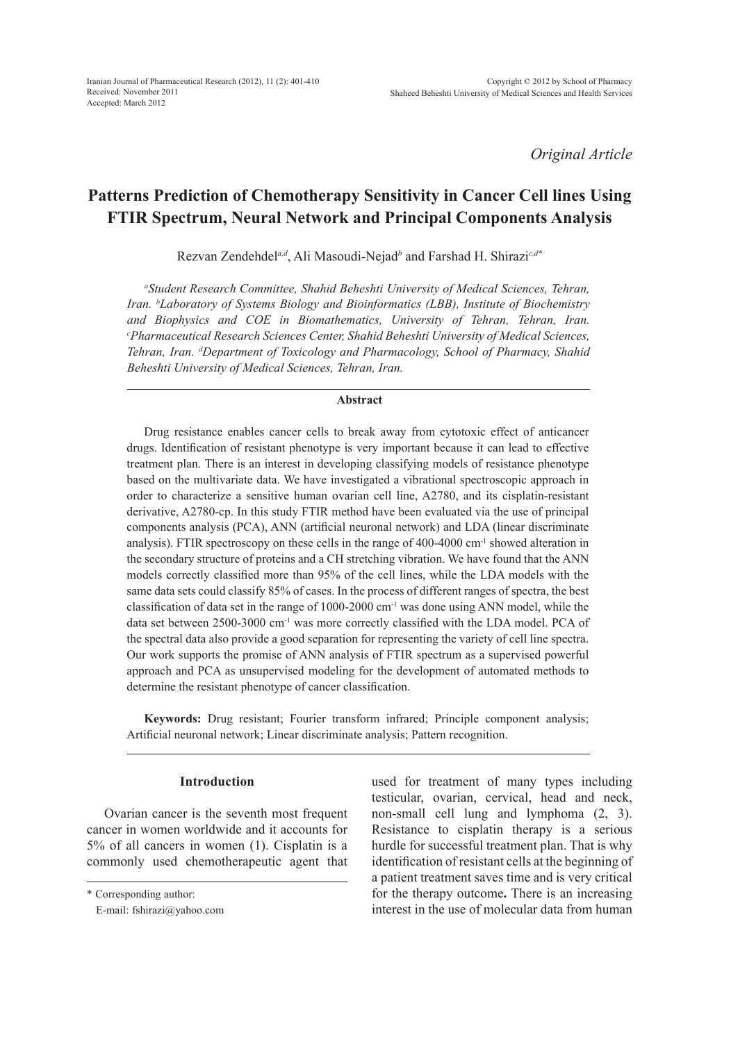*Original Article*

# **Patterns Prediction of Chemotherapy Sensitivity in Cancer Cell lines Using FTIR Spectrum, Neural Network and Principal Components Analysis**

Rezvan Zendehdel*a,d*, Ali Masoudi-Nejad*<sup>b</sup>* and Farshad H. Shirazi*c,d\**

*a Student Research Committee, Shahid Beheshti University of Medical Sciences, Tehran, Iran. b Laboratory of Systems Biology and Bioinformatics (LBB), Institute of Biochemistry and Biophysics and COE in Biomathematics, University of Tehran, Tehran, Iran. c Pharmaceutical Research Sciences Center, Shahid Beheshti University of Medical Sciences, Tehran, Iran. d Department of Toxicology and Pharmacology, School of Pharmacy, Shahid Beheshti University of Medical Sciences, Tehran, Iran.*

# **Abstract**

Drug resistance enables cancer cells to break away from cytotoxic effect of anticancer drugs. Identification of resistant phenotype is very important because it can lead to effective treatment plan. There is an interest in developing classifying models of resistance phenotype based on the multivariate data. We have investigated a vibrational spectroscopic approach in order to characterize a sensitive human ovarian cell line, A2780, and its cisplatin-resistant derivative, A2780-cp. In this study FTIR method have been evaluated via the use of principal components analysis (PCA), ANN (artificial neuronal network) and LDA (linear discriminate analysis). FTIR spectroscopy on these cells in the range of 400-4000 cm<sup>-1</sup> showed alteration in the secondary structure of proteins and a CH stretching vibration. We have found that the ANN models correctly classified more than 95% of the cell lines, while the LDA models with the same data sets could classify 85% of cases. In the process of different ranges of spectra, the best classification of data set in the range of  $1000-2000$  cm<sup>-1</sup> was done using ANN model, while the data set between 2500-3000 cm<sup>-1</sup> was more correctly classified with the LDA model. PCA of the spectral data also provide a good separation for representing the variety of cell line spectra. Our work supports the promise of ANN analysis of FTIR spectrum as a supervised powerful approach and PCA as unsupervised modeling for the development of automated methods to determine the resistant phenotype of cancer classification.

**Keywords:** Drug resistant; Fourier transform infrared; Principle component analysis; Artificial neuronal network; Linear discriminate analysis; Pattern recognition.

# **Introduction**

Ovarian cancer is the seventh most frequent cancer in women worldwide and it accounts for 5% of all cancers in women (1). Cisplatin is a commonly used chemotherapeutic agent that used for treatment of many types including testicular, ovarian, cervical, head and neck, non-small cell lung and lymphoma (2, 3). Resistance to cisplatin therapy is a serious hurdle for successful treatment plan. That is why identification of resistant cells at the beginning of a patient treatment saves time and is very critical for the therapy outcome**.** There is an increasing interest in the use of molecular data from human

<sup>\*</sup> Corresponding author:

E-mail: fshirazi@yahoo.com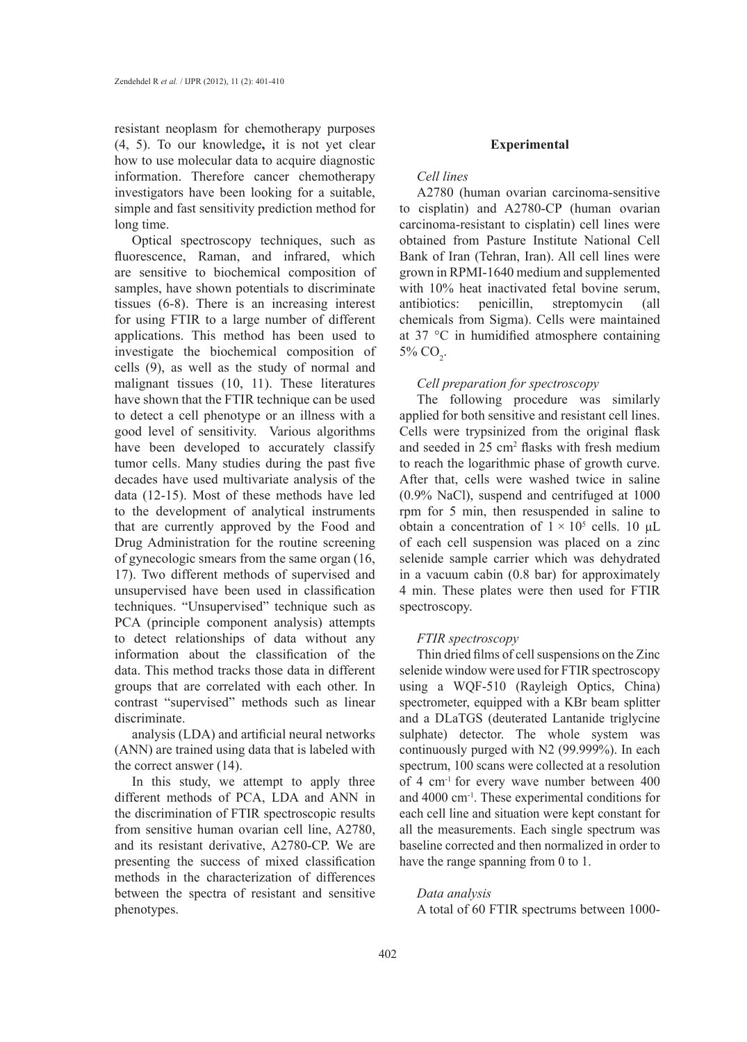resistant neoplasm for chemotherapy purposes (4, 5). To our knowledge**,** it is not yet clear how to use molecular data to acquire diagnostic information. Therefore cancer chemotherapy investigators have been looking for a suitable, simple and fast sensitivity prediction method for long time.

Optical spectroscopy techniques, such as fluorescence, Raman, and infrared, which are sensitive to biochemical composition of samples, have shown potentials to discriminate tissues (6-8). There is an increasing interest for using FTIR to a large number of different applications. This method has been used to investigate the biochemical composition of cells (9), as well as the study of normal and malignant tissues (10, 11). These literatures have shown that the FTIR technique can be used to detect a cell phenotype or an illness with a good level of sensitivity. Various algorithms have been developed to accurately classify tumor cells. Many studies during the past five decades have used multivariate analysis of the data (12-15). Most of these methods have led to the development of analytical instruments that are currently approved by the Food and Drug Administration for the routine screening of gynecologic smears from the same organ (16, 17). Two different methods of supervised and unsupervised have been used in classification techniques. "Unsupervised" technique such as PCA (principle component analysis) attempts to detect relationships of data without any information about the classification of the data. This method tracks those data in different groups that are correlated with each other. In contrast "supervised" methods such as linear discriminate.

analysis (LDA) and artificial neural networks (ANN) are trained using data that is labeled with the correct answer (14).

In this study, we attempt to apply three different methods of PCA, LDA and ANN in the discrimination of FTIR spectroscopic results from sensitive human ovarian cell line, A2780, and its resistant derivative, A2780-CP. We are presenting the success of mixed classification methods in the characterization of differences between the spectra of resistant and sensitive phenotypes.

### **Experimental**

### *Cell lines*

A2780 (human ovarian carcinoma-sensitive to cisplatin) and A2780-CP (human ovarian carcinoma-resistant to cisplatin) cell lines were obtained from Pasture Institute National Cell Bank of Iran (Tehran, Iran). All cell lines were grown in RPMI-1640 medium and supplemented with 10% heat inactivated fetal bovine serum, antibiotics: penicillin, streptomycin (all chemicals from Sigma). Cells were maintained at 37 °C in humidified atmosphere containing 5%  $CO<sub>2</sub>$ .

# *Cell preparation for spectroscopy*

The following procedure was similarly applied for both sensitive and resistant cell lines. Cells were trypsinized from the original flask and seeded in 25 cm<sup>2</sup> flasks with fresh medium to reach the logarithmic phase of growth curve. After that, cells were washed twice in saline (0.9% NaCl), suspend and centrifuged at 1000 rpm for 5 min, then resuspended in saline to obtain a concentration of  $1 \times 10^5$  cells. 10 µL of each cell suspension was placed on a zinc selenide sample carrier which was dehydrated in a vacuum cabin (0.8 bar) for approximately 4 min. These plates were then used for FTIR spectroscopy.

### *FTIR spectroscopy*

Thin dried films of cell suspensions on the Zinc selenide window were used for FTIR spectroscopy using a WQF-510 (Rayleigh Optics, China) spectrometer, equipped with a KBr beam splitter and a DLaTGS (deuterated Lantanide triglycine sulphate) detector. The whole system was continuously purged with N2 (99.999%). In each spectrum, 100 scans were collected at a resolution of 4 cm-1 for every wave number between 400 and 4000 cm-1. These experimental conditions for each cell line and situation were kept constant for all the measurements. Each single spectrum was baseline corrected and then normalized in order to have the range spanning from 0 to 1.

# *Data analysis*

A total of 60 FTIR spectrums between 1000-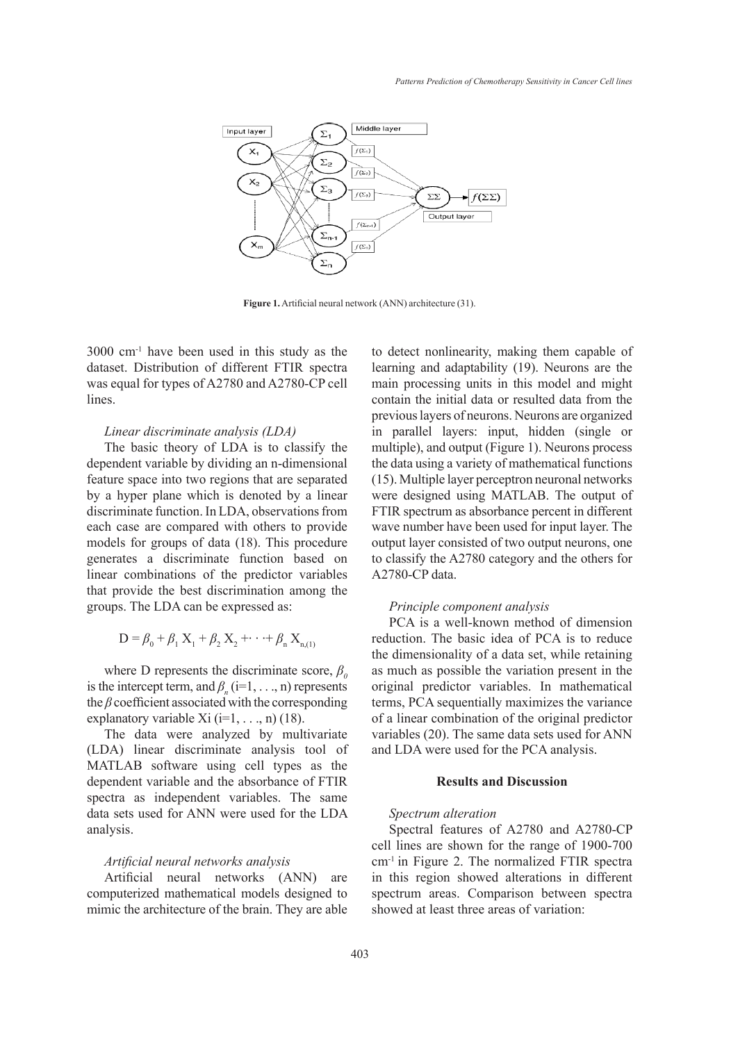

**Figure 1.** Artificial neural network (ANN) architecture (31).

3000 cm-1 have been used in this study as the dataset. Distribution of different FTIR spectra was equal for types of A2780 and A2780-CP cell lines.

# *Linear discriminate analysis (LDA)*

The basic theory of LDA is to classify the dependent variable by dividing an n-dimensional feature space into two regions that are separated by a hyper plane which is denoted by a linear discriminate function. In LDA, observations from each case are compared with others to provide models for groups of data (18). This procedure generates a discriminate function based on linear combinations of the predictor variables that provide the best discrimination among the groups. The LDA can be expressed as:

$$
D = \beta_0 + \beta_1 X_1 + \beta_2 X_2 + \cdots + \beta_n X_{n,(1)}
$$

where D represents the discriminate score,  $\beta$ <sup>0</sup> is the intercept term, and  $\beta_n$  (i=1, ..., n) represents the *β* coefficient associated with the corresponding explanatory variable Xi  $(i=1, \ldots, n)$  (18).

The data were analyzed by multivariate (LDA) linear discriminate analysis tool of MATLAB software using cell types as the dependent variable and the absorbance of FTIR spectra as independent variables. The same data sets used for ANN were used for the LDA analysis.

### *Artificial neural networks analysis*

Artificial neural networks (ANN) are computerized mathematical models designed to mimic the architecture of the brain. They are able to detect nonlinearity, making them capable of learning and adaptability (19). Neurons are the main processing units in this model and might contain the initial data or resulted data from the previous layers of neurons. Neurons are organized in parallel layers: input, hidden (single or multiple), and output (Figure 1). Neurons process the data using a variety of mathematical functions (15). Multiple layer perceptron neuronal networks were designed using MATLAB. The output of FTIR spectrum as absorbance percent in different wave number have been used for input layer. The output layer consisted of two output neurons, one to classify the A2780 category and the others for A2780-CP data.

### *Principle component analysis*

PCA is a well-known method of dimension reduction. The basic idea of PCA is to reduce the dimensionality of a data set, while retaining as much as possible the variation present in the original predictor variables. In mathematical terms, PCA sequentially maximizes the variance of a linear combination of the original predictor variables (20). The same data sets used for ANN and LDA were used for the PCA analysis.

# **Results and Discussion**

### *Spectrum alteration*

Spectral features of A2780 and A2780-CP cell lines are shown for the range of 1900-700 cm-1 in Figure 2. The normalized FTIR spectra in this region showed alterations in different spectrum areas. Comparison between spectra showed at least three areas of variation: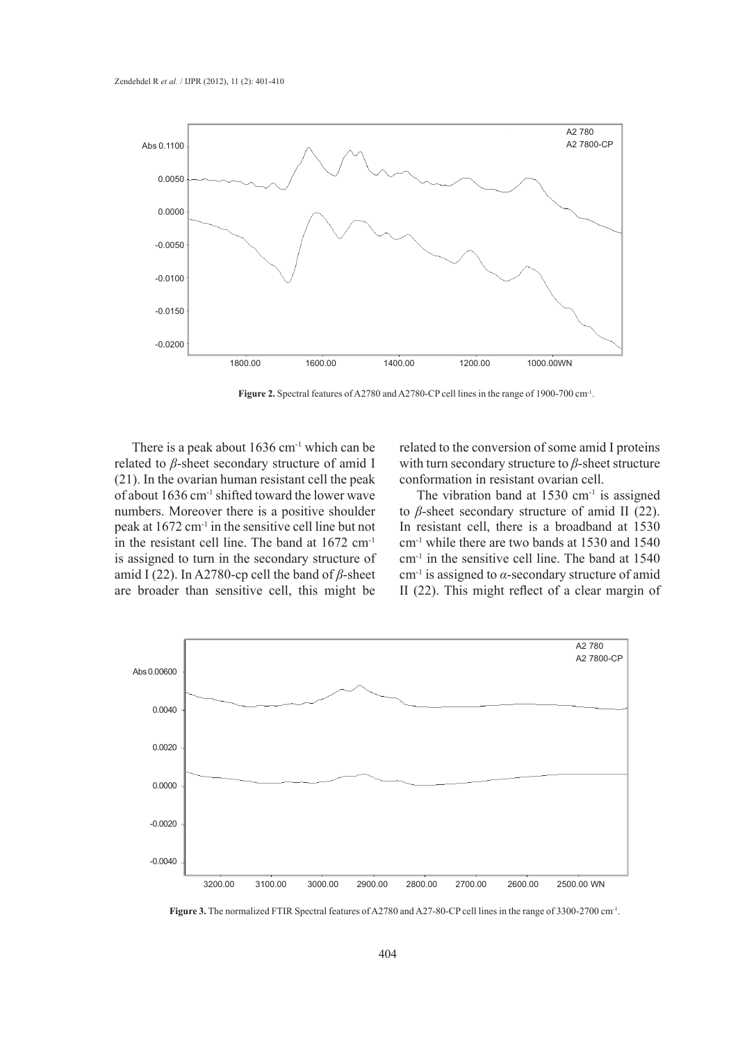

Figure 2. Spectral features of A2780 and A2780-CP cell lines in the range of 1900-700 cm<sup>-1</sup>.

There is a peak about  $1636 \text{ cm}^{-1}$  which can be related to *β*-sheet secondary structure of amid I (21). In the ovarian human resistant cell the peak of about 1636 cm<sup>-1</sup> shifted toward the lower wave numbers. Moreover there is a positive shoulder peak at 1672 cm-1 in the sensitive cell line but not in the resistant cell line. The band at 1672 cm-1 is assigned to turn in the secondary structure of amid I (22). In A2780-cp cell the band of *β*-sheet are broader than sensitive cell, this might be

related to the conversion of some amid I proteins with turn secondary structure to *β*-sheet structure conformation in resistant ovarian cell.

The vibration band at  $1530 \text{ cm}^{-1}$  is assigned to *β*-sheet secondary structure of amid II (22). In resistant cell, there is a broadband at 1530 cm-1 while there are two bands at 1530 and 1540 cm-1 in the sensitive cell line. The band at 1540 cm-1 is assigned to *α*-secondary structure of amid II (22). This might reflect of a clear margin of



**Figure 3.** The normalized FTIR Spectral features of A2780 and A27-80-CP cell lines in the range of 3300-2700 cm<sup>-1</sup>.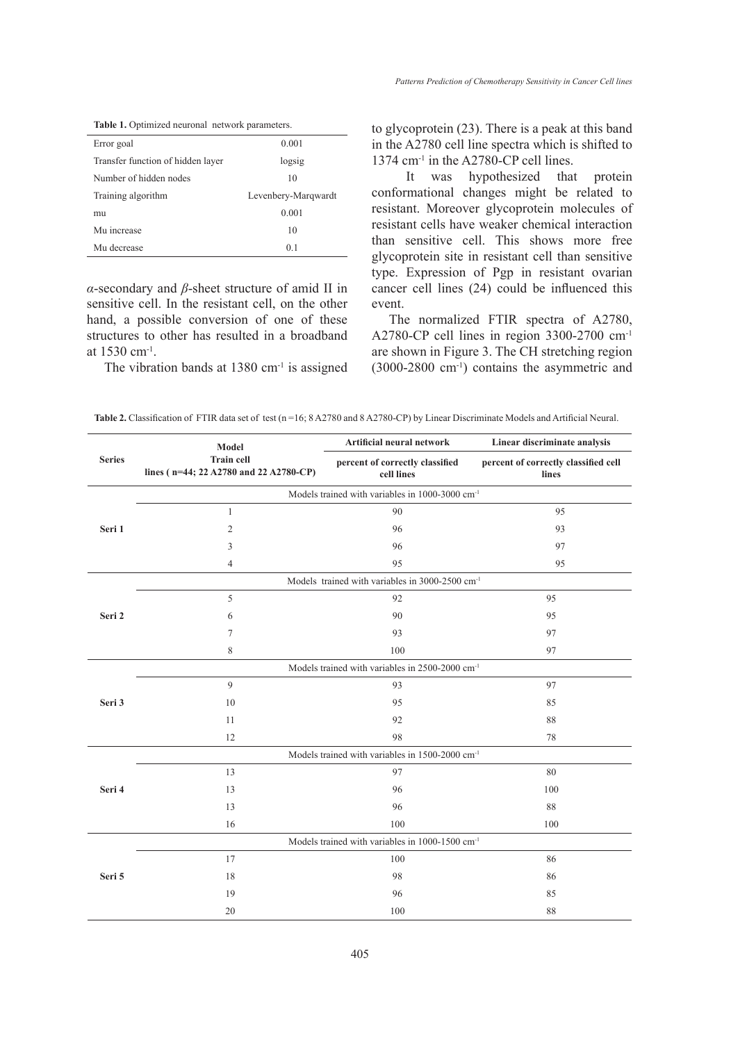Table 1. Optimized neuronal network parameters.

| Error goal                        | 0.001               |  |
|-----------------------------------|---------------------|--|
| Transfer function of hidden layer | logsig              |  |
| Number of hidden nodes            | 10                  |  |
| Training algorithm                | Levenbery-Marqwardt |  |
| mu                                | 0.001               |  |
| Mu increase                       | 10                  |  |
| Mu decrease                       | 0.1                 |  |

*α*-secondary and *β*-sheet structure of amid II in sensitive cell. In the resistant cell, on the other hand, a possible conversion of one of these structures to other has resulted in a broadband at 1530 cm-1.

The vibration bands at  $1380 \text{ cm}^{-1}$  is assigned

to glycoprotein (23). There is a peak at this band in the A2780 cell line spectra which is shifted to 1374 cm-1 in the A2780-CP cell lines.

 It was hypothesized that protein conformational changes might be related to resistant. Moreover glycoprotein molecules of resistant cells have weaker chemical interaction than sensitive cell. This shows more free glycoprotein site in resistant cell than sensitive type. Expression of Pgp in resistant ovarian cancer cell lines (24) could be influenced this event.

The normalized FTIR spectra of A2780, A2780-CP cell lines in region 3300-2700 cm-1 are shown in Figure 3. The CH stretching region (3000-2800 cm-1) contains the asymmetric and

| <b>Train cell</b><br><b>Series</b><br>percent of correctly classified cell<br>percent of correctly classified<br>lines (n=44; 22 A2780 and 22 A2780-CP)<br>cell lines<br>lines<br>Models trained with variables in 1000-3000 cm <sup>-1</sup><br>90<br>95<br>$\mathbf{1}$<br>Seri 1<br>$\overline{2}$<br>96<br>93<br>97<br>3<br>96<br>$\overline{4}$<br>95<br>95<br>Models trained with variables in 3000-2500 cm <sup>-1</sup><br>5<br>92<br>95<br>Seri 2<br>90<br>95<br>6<br>97<br>7<br>93<br>8<br>100<br>97<br>Models trained with variables in 2500-2000 cm <sup>-1</sup><br>9<br>93<br>97<br>Seri 3<br>10<br>95<br>85<br>11<br>92<br>88<br>12<br>78<br>98<br>Models trained with variables in 1500-2000 cm <sup>-1</sup><br>13<br>97<br>80<br>Seri 4<br>13<br>96<br>100<br>13<br>96<br>88<br>16<br>100<br>100<br>Models trained with variables in 1000-1500 cm <sup>-1</sup><br>17<br>100<br>86<br>18<br>98<br>86<br>Seri 5<br>19<br>96<br>85<br>20<br>100<br>88 |  | Model | Artificial neural network | Linear discriminate analysis |  |
|-----------------------------------------------------------------------------------------------------------------------------------------------------------------------------------------------------------------------------------------------------------------------------------------------------------------------------------------------------------------------------------------------------------------------------------------------------------------------------------------------------------------------------------------------------------------------------------------------------------------------------------------------------------------------------------------------------------------------------------------------------------------------------------------------------------------------------------------------------------------------------------------------------------------------------------------------------------------------|--|-------|---------------------------|------------------------------|--|
|                                                                                                                                                                                                                                                                                                                                                                                                                                                                                                                                                                                                                                                                                                                                                                                                                                                                                                                                                                       |  |       |                           |                              |  |
|                                                                                                                                                                                                                                                                                                                                                                                                                                                                                                                                                                                                                                                                                                                                                                                                                                                                                                                                                                       |  |       |                           |                              |  |
|                                                                                                                                                                                                                                                                                                                                                                                                                                                                                                                                                                                                                                                                                                                                                                                                                                                                                                                                                                       |  |       |                           |                              |  |
|                                                                                                                                                                                                                                                                                                                                                                                                                                                                                                                                                                                                                                                                                                                                                                                                                                                                                                                                                                       |  |       |                           |                              |  |
|                                                                                                                                                                                                                                                                                                                                                                                                                                                                                                                                                                                                                                                                                                                                                                                                                                                                                                                                                                       |  |       |                           |                              |  |
|                                                                                                                                                                                                                                                                                                                                                                                                                                                                                                                                                                                                                                                                                                                                                                                                                                                                                                                                                                       |  |       |                           |                              |  |
|                                                                                                                                                                                                                                                                                                                                                                                                                                                                                                                                                                                                                                                                                                                                                                                                                                                                                                                                                                       |  |       |                           |                              |  |
|                                                                                                                                                                                                                                                                                                                                                                                                                                                                                                                                                                                                                                                                                                                                                                                                                                                                                                                                                                       |  |       |                           |                              |  |
|                                                                                                                                                                                                                                                                                                                                                                                                                                                                                                                                                                                                                                                                                                                                                                                                                                                                                                                                                                       |  |       |                           |                              |  |
|                                                                                                                                                                                                                                                                                                                                                                                                                                                                                                                                                                                                                                                                                                                                                                                                                                                                                                                                                                       |  |       |                           |                              |  |
|                                                                                                                                                                                                                                                                                                                                                                                                                                                                                                                                                                                                                                                                                                                                                                                                                                                                                                                                                                       |  |       |                           |                              |  |
|                                                                                                                                                                                                                                                                                                                                                                                                                                                                                                                                                                                                                                                                                                                                                                                                                                                                                                                                                                       |  |       |                           |                              |  |
|                                                                                                                                                                                                                                                                                                                                                                                                                                                                                                                                                                                                                                                                                                                                                                                                                                                                                                                                                                       |  |       |                           |                              |  |
|                                                                                                                                                                                                                                                                                                                                                                                                                                                                                                                                                                                                                                                                                                                                                                                                                                                                                                                                                                       |  |       |                           |                              |  |
|                                                                                                                                                                                                                                                                                                                                                                                                                                                                                                                                                                                                                                                                                                                                                                                                                                                                                                                                                                       |  |       |                           |                              |  |
|                                                                                                                                                                                                                                                                                                                                                                                                                                                                                                                                                                                                                                                                                                                                                                                                                                                                                                                                                                       |  |       |                           |                              |  |
|                                                                                                                                                                                                                                                                                                                                                                                                                                                                                                                                                                                                                                                                                                                                                                                                                                                                                                                                                                       |  |       |                           |                              |  |
|                                                                                                                                                                                                                                                                                                                                                                                                                                                                                                                                                                                                                                                                                                                                                                                                                                                                                                                                                                       |  |       |                           |                              |  |
|                                                                                                                                                                                                                                                                                                                                                                                                                                                                                                                                                                                                                                                                                                                                                                                                                                                                                                                                                                       |  |       |                           |                              |  |
|                                                                                                                                                                                                                                                                                                                                                                                                                                                                                                                                                                                                                                                                                                                                                                                                                                                                                                                                                                       |  |       |                           |                              |  |
|                                                                                                                                                                                                                                                                                                                                                                                                                                                                                                                                                                                                                                                                                                                                                                                                                                                                                                                                                                       |  |       |                           |                              |  |
|                                                                                                                                                                                                                                                                                                                                                                                                                                                                                                                                                                                                                                                                                                                                                                                                                                                                                                                                                                       |  |       |                           |                              |  |
|                                                                                                                                                                                                                                                                                                                                                                                                                                                                                                                                                                                                                                                                                                                                                                                                                                                                                                                                                                       |  |       |                           |                              |  |
|                                                                                                                                                                                                                                                                                                                                                                                                                                                                                                                                                                                                                                                                                                                                                                                                                                                                                                                                                                       |  |       |                           |                              |  |
|                                                                                                                                                                                                                                                                                                                                                                                                                                                                                                                                                                                                                                                                                                                                                                                                                                                                                                                                                                       |  |       |                           |                              |  |
|                                                                                                                                                                                                                                                                                                                                                                                                                                                                                                                                                                                                                                                                                                                                                                                                                                                                                                                                                                       |  |       |                           |                              |  |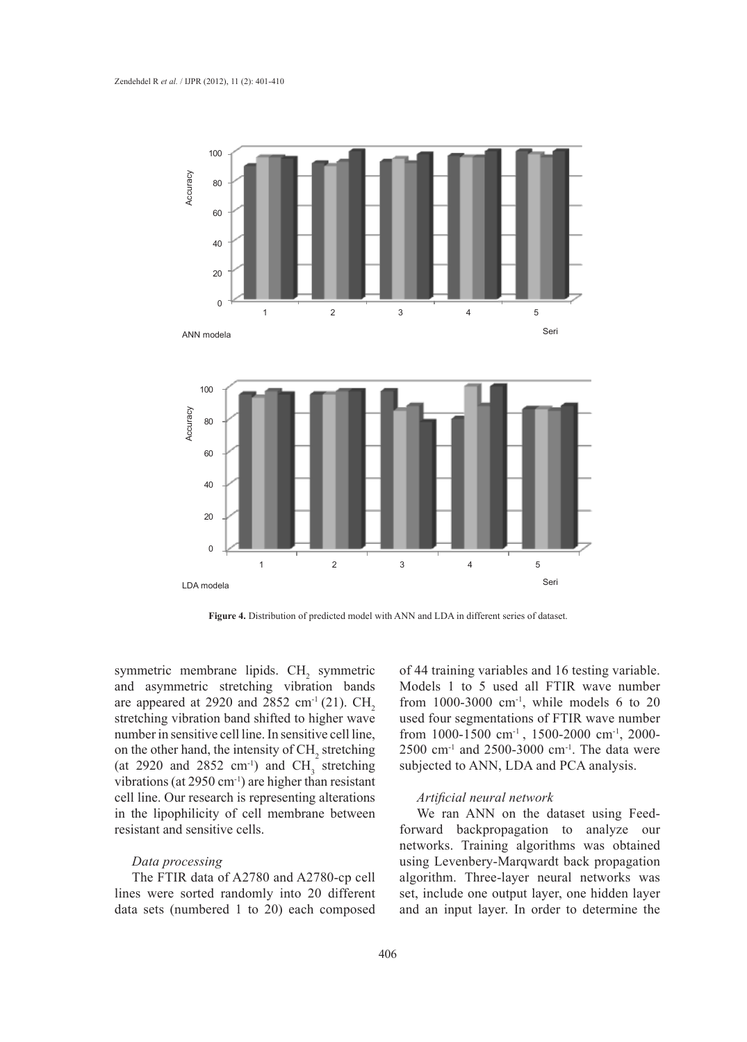

**Figure 4.** Distribution of predicted model with ANN and LDA in different series of dataset.

symmetric membrane lipids.  $CH<sub>2</sub>$  symmetric and asymmetric stretching vibration bands are appeared at 2920 and 2852 cm<sup>-1</sup> (21). CH<sub>2</sub> stretching vibration band shifted to higher wave number in sensitive cell line. In sensitive cell line, on the other hand, the intensity of  $CH<sub>2</sub>$  stretching (at 2920 and 2852 cm<sup>-1</sup>) and  $CH_3$  stretching vibrations (at 2950 cm-1) are higher than resistant cell line. Our research is representing alterations in the lipophilicity of cell membrane between resistant and sensitive cells.

# *Data processing*

The FTIR data of A2780 and A2780-cp cell lines were sorted randomly into 20 different data sets (numbered 1 to 20) each composed of 44 training variables and 16 testing variable. Models 1 to 5 used all FTIR wave number from  $1000-3000$  cm<sup>-1</sup>, while models 6 to 20 used four segmentations of FTIR wave number from 1000-1500 cm-1 , 1500-2000 cm-1, 2000- 2500 cm-1 and 2500-3000 cm-1. The data were subjected to ANN, LDA and PCA analysis.

### *Artificial neural network*

We ran ANN on the dataset using Feedforward backpropagation to analyze our networks. Training algorithms was obtained using Levenbery-Marqwardt back propagation algorithm. Three-layer neural networks was set, include one output layer, one hidden layer and an input layer. In order to determine the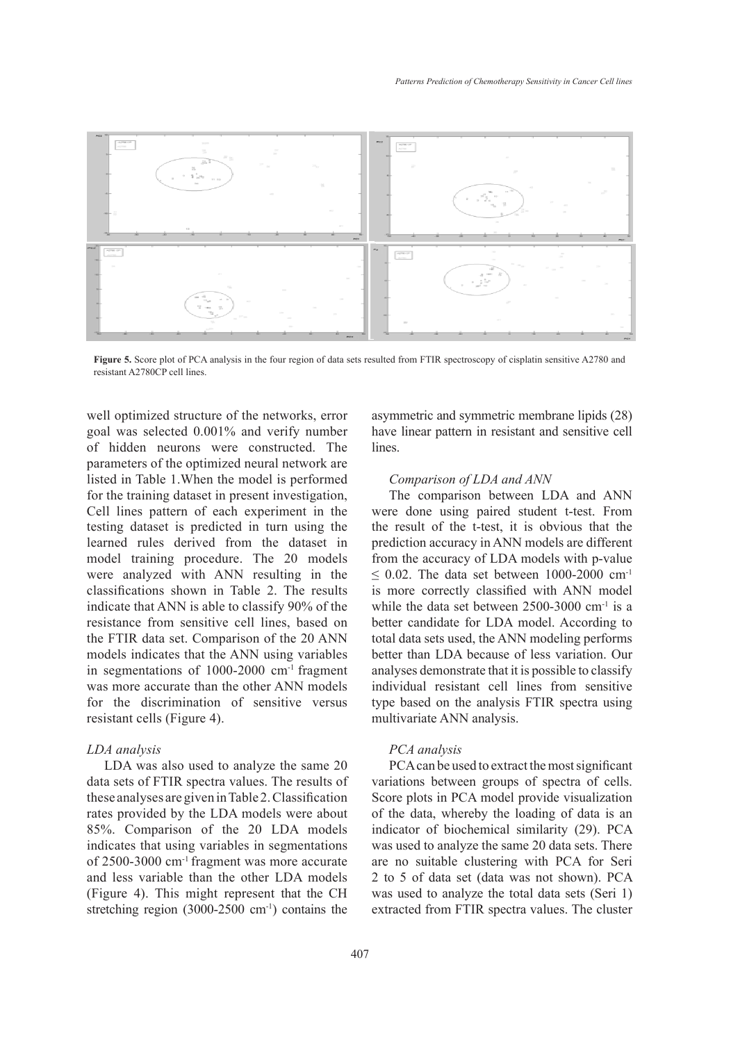

**Figure 5.** Score plot of PCA analysis in the four region of data sets resulted from FTIR spectroscopy of cisplatin sensitive A2780 and resistant A2780CP cell lines. Forgation 5. Score plants in the four region of  $\mathcal{L}_{\text{F}}$ 

well optimized structure of the networks, error goal was selected 0.001% and verify number have linear pattern in resistant central area of  $\mu$ of hidden neurons were constructed. The parameters of the optimized neural network are listed in Table 1.When the model is performed for the training dataset in present investigation, The comparison betwe Cell lines pattern of each experiment in the testing dataset is predicted in turn using the the result of the t-test, it learned rules derived from the dataset in model training procedure. The 20 models from the accuracy of LDA were analyzed with ANN resulting in the classifications shown in Table 2. The results is more correctly c indicate that ANN is able to classify 90% of the resistance from sensitive cell lines, based on the FTIR data set. Comparison of the 20 ANN models indicates that the ANN using variables in segmentations of 1000-2000 cm-1 fragment was more accurate than the other ANN models for the discrimination of sensitive versus resistant cells (Figure 4).

### *LDA analysis*

LDA was also used to analyze the same 20 data sets of FTIR spectra values. The results of these analyses are given in Table 2. Classification rates provided by the LDA models were about 85%. Comparison of the 20 LDA models indicates that using variables in segmentations of 2500-3000 cm-1 fragment was more accurate and less variable than the other LDA models (Figure 4). This might represent that the CH stretching region (3000-2500 cm<sup>-1</sup>) contains the asymmetric and symmetric membrane lipids (28) have linear pattern in resistant and sensitive cell lines.

### *Comparison of LDA and ANN*

The comparison between LDA and ANN were done using paired student t-test. From the result of the t-test, it is obvious that the prediction accuracy in ANN models are different from the accuracy of LDA models with p-value  $\leq$  0.02. The data set between 1000-2000 cm<sup>-1</sup> is more correctly classified with ANN model while the data set between 2500-3000 cm<sup>-1</sup> is a better candidate for LDA model. According to total data sets used, the ANN modeling performs better than LDA because of less variation. Our analyses demonstrate that it is possible to classify individual resistant cell lines from sensitive type based on the analysis FTIR spectra using multivariate ANN analysis.

### *PCA analysis*

PCA can be used to extract the most significant variations between groups of spectra of cells. Score plots in PCA model provide visualization of the data, whereby the loading of data is an indicator of biochemical similarity (29). PCA was used to analyze the same 20 data sets. There are no suitable clustering with PCA for Seri 2 to 5 of data set (data was not shown). PCA was used to analyze the total data sets (Seri 1) extracted from FTIR spectra values. The cluster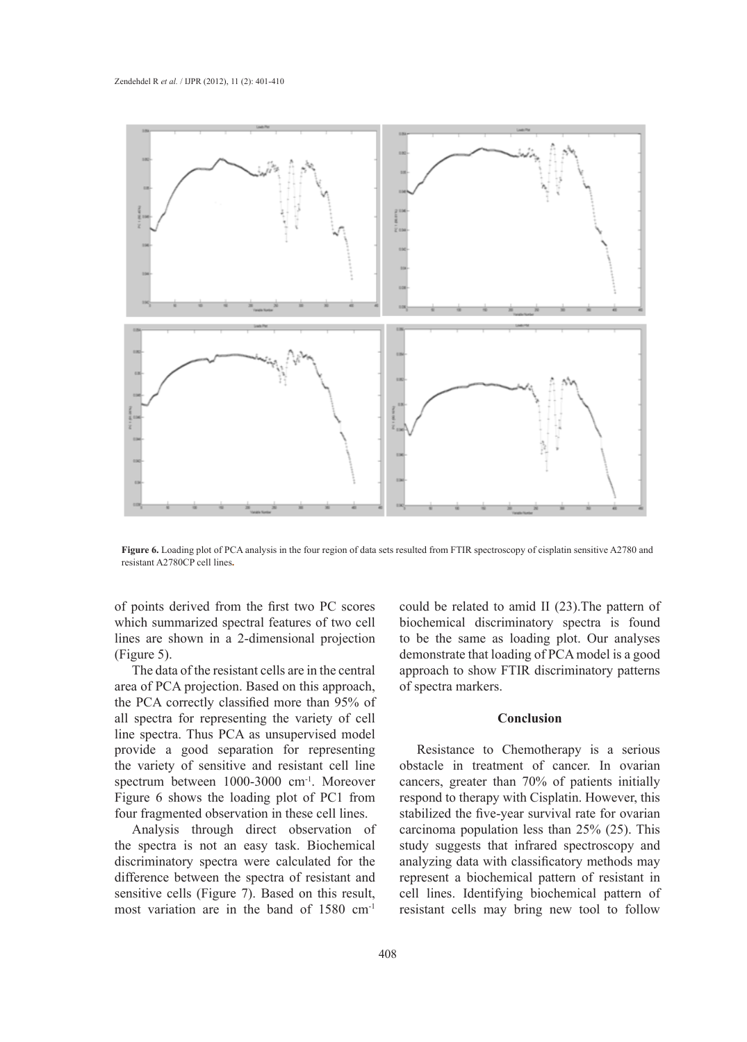

**Figure 6.** Loading plot of PCA analysis in the four region of data sets resulted from FTIR spectroscopy of cisplatin sensitive A2780 and resistant A2780CP cell lines.

of points derived from the first two PC scores which summarized spectral features of two cell biochemical discriminatory lines are shown in a 2-dimensional projection (Figure 5).

The data of the resistant cells are in the central area of PCA projection. Based on this approach, of spectra markers. the PCA correctly classified more than 95% of all spectra for representing the variety of cell **Conclusion** line spectra. Thus PCA as unsupervised model provide a good separation for representing Resistance to Chemother the variety of sensitive and resistant cell line spectrum between 1000-3000 cm<sup>-1</sup>. Moreover cancers, greater than 70% of Figure 6 shows the loading plot of PC1 from four fragmented observation in these cell lines. stabilized the five

Analysis through direct observation of the spectra is not an easy task. Biochemical discriminatory spectra were calculated for the difference between the spectra of resistant and sensitive cells (Figure 7). Based on this result, most variation are in the band of 1580 cm-1

could be related to amid II (23).The pattern of biochemical discriminatory spectra is found to be the same as loading plot. Our analyses (Figure 5). **Example 2** demonstrate that loading of PCA model is a good approach to show FTIR discriminatory patterns of spectra markers.

### **Conclusion**

Resistance to Chemotherapy is a serious obstacle in treatment of cancer. In ovarian cancers, greater than 70% of patients initially respond to therapy with Cisplatin. However, this stabilized the five-year survival rate for ovarian carcinoma population less than 25% (25). This study suggests that infrared spectroscopy and analyzing data with classificatory methods may represent a biochemical pattern of resistant in cell lines. Identifying biochemical pattern of resistant cells may bring new tool to follow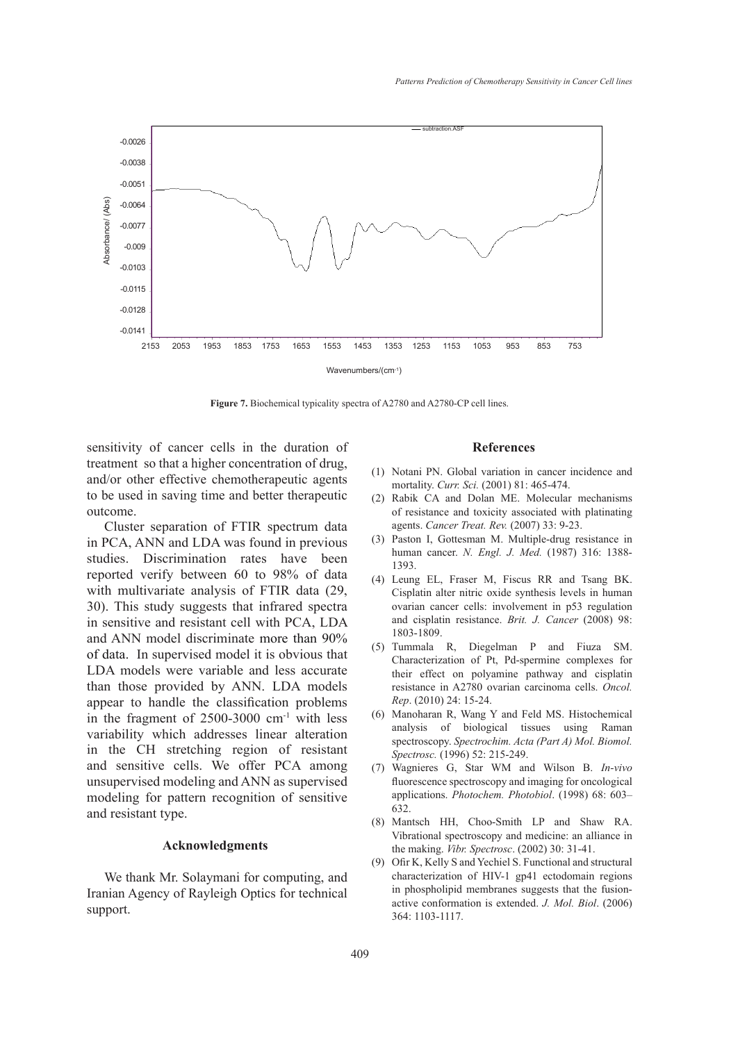

**Figure 7.** Biochemical typicality spectra of A2780 and A2780-CP cell lines.

sensitivity of cancer cells in the duration of treatment so that a higher concentration of drug, and/or other effective chemotherapeutic agents to be used in saving time and better therapeutic outcome.

Cluster separation of FTIR spectrum data in PCA, ANN and LDA was found in previous studies. Discrimination rates have been reported verify between 60 to 98% of data with multivariate analysis of FTIR data (29, 30). This study suggests that infrared spectra in sensitive and resistant cell with PCA, LDA and ANN model discriminate more than 90% of data. In supervised model it is obvious that LDA models were variable and less accurate than those provided by ANN. LDA models appear to handle the classification problems in the fragment of  $2500-3000$  cm<sup>-1</sup> with less variability which addresses linear alteration in the CH stretching region of resistant and sensitive cells. We offer PCA among unsupervised modeling and ANN as supervised modeling for pattern recognition of sensitive and resistant type.

# **Acknowledgments\**

We thank Mr. Solaymani for computing, and Iranian Agency of Rayleigh Optics for technical support.

#### **References**

- (1) Notani PN. Global variation in cancer incidence and mortality. *Curr. Sci.* (2001) 81: 465-474.
- (2) Rabik CA and Dolan ME. Molecular mechanisms of resistance and toxicity associated with platinating agents. *Cancer Treat. Rev.* (2007) 33: 9-23.
- Paston I, Gottesman M. Multiple-drug resistance in (3) human cancer. *N. Engl. J. Med.* (1987) 316: 1388- 1393.
- Leung EL, Fraser M, Fiscus RR and Tsang BK. (4) Cisplatin alter nitric oxide synthesis levels in human ovarian cancer cells: involvement in p53 regulation and cisplatin resistance. *Brit. J. Cancer* (2008) 98: 1803-1809.
- $(5)$  Tummala R, Diegelman P and Fiuza SM. Characterization of Pt, Pd-spermine complexes for their effect on polyamine pathway and cisplatin resistance in A2780 ovarian carcinoma cells. *Oncol. Rep*. (2010) 24: 15-24.
- (6) Manoharan R, Wang Y and Feld MS. Histochemical analysis of biological tissues using Raman spectroscopy. *Spectrochim. Acta (Part A) Mol. Biomol. Spectrosc.* (1996) 52: 215-249.
- Wagnieres G, Star WM and Wilson B. *In-vivo* (7) fluorescence spectroscopy and imaging for oncological applications. *Photochem. Photobiol*. (1998) 68: 603– 632.
- Mantsch HH, Choo-Smith LP and Shaw RA. (8) Vibrational spectroscopy and medicine: an alliance in the making. *Vibr. Spectrosc*. (2002) 30: 31-41.
- (9) Ofir K, Kelly S and Yechiel S. Functional and structural characterization of HIV-1 gp41 ectodomain regions in phospholipid membranes suggests that the fusionactive conformation is extended. *J. Mol. Biol*. (2006) 364: 1103-1117.